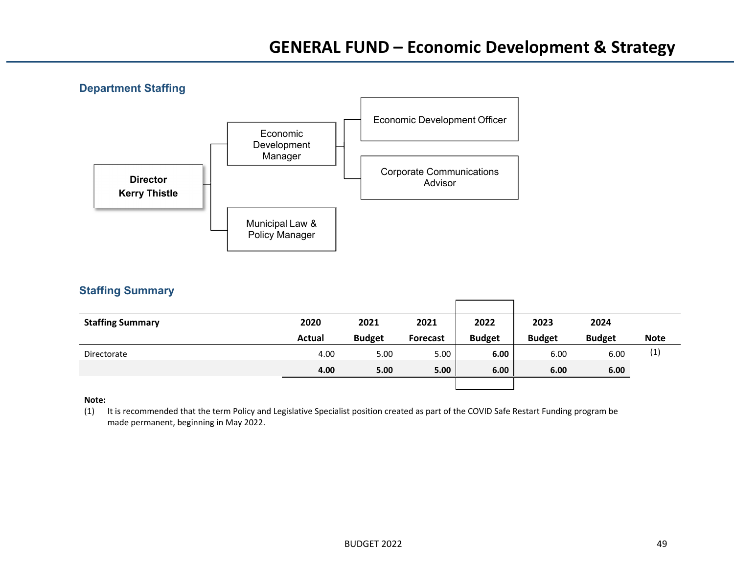**Department Staffing**  Economic Development Officer Economic **Development** Manager Corporate Communications AdvisorMunicipal Law & Policy Manager **Director Kerry Thistle** 

## **Staffing Summary**

| <b>Staffing Summary</b> | 2020          | 2021          | 2021            | 2022          | 2023          | 2024          |             |
|-------------------------|---------------|---------------|-----------------|---------------|---------------|---------------|-------------|
|                         | <b>Actual</b> | <b>Budget</b> | <b>Forecast</b> | <b>Budget</b> | <b>Budget</b> | <b>Budget</b> | <b>Note</b> |
| Directorate             | 4.00          | 5.00          | 5.00            | 6.00          | 6.00          | 6.00          | (1)         |
|                         | 4.00          | 5.00          | 5.00            | 6.00          | 6.00          | 6.00          |             |
|                         |               |               |                 |               |               |               |             |

## **Note:**

(1) It is recommended that the term Policy and Legislative Specialist position created as part of the COVID Safe Restart Funding program be made permanent, beginning in May 2022.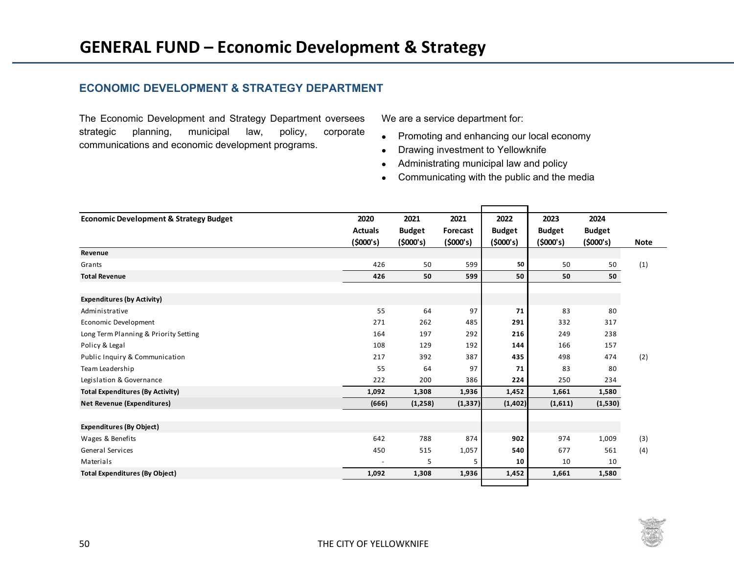## **ECONOMIC DEVELOPMENT & STRATEGY DEPARTMENT**

The Economic Development and Strategy Department oversees strategic planning, municipal law, policy, corporate communications and economic development programs.

We are a service department for:

- Promoting and enhancing our local economy
- Drawing investment to Yellowknife
- Administrating municipal law and policy
- Communicating with the public and the media

| <b>Economic Development &amp; Strategy Budget</b> | 2020           | 2021          | 2021     | 2022          | 2023          | 2024          |             |
|---------------------------------------------------|----------------|---------------|----------|---------------|---------------|---------------|-------------|
|                                                   | <b>Actuals</b> | <b>Budget</b> | Forecast | <b>Budget</b> | <b>Budget</b> | <b>Budget</b> |             |
|                                                   | (5000's)       | (5000's)      | (5000's) | (5000's)      | (5000's)      | (5000's)      | <b>Note</b> |
| Revenue                                           |                |               |          |               |               |               |             |
| Grants                                            | 426            | 50            | 599      | 50            | 50            | 50            | (1)         |
| <b>Total Revenue</b>                              | 426            | 50            | 599      | 50            | 50            | 50            |             |
| <b>Expenditures (by Activity)</b>                 |                |               |          |               |               |               |             |
| Administrative                                    | 55             | 64            | 97       | 71            | 83            | 80            |             |
| Economic Development                              | 271            | 262           | 485      | 291           | 332           | 317           |             |
| Long Term Planning & Priority Setting             | 164            | 197           | 292      | 216           | 249           | 238           |             |
| Policy & Legal                                    | 108            | 129           | 192      | 144           | 166           | 157           |             |
| Public Inquiry & Communication                    | 217            | 392           | 387      | 435           | 498           | 474           | (2)         |
| Team Leadership                                   | 55             | 64            | 97       | 71            | 83            | 80            |             |
| Legislation & Governance                          | 222            | 200           | 386      | 224           | 250           | 234           |             |
| <b>Total Expenditures (By Activity)</b>           | 1,092          | 1,308         | 1,936    | 1,452         | 1,661         | 1,580         |             |
| <b>Net Revenue (Expenditures)</b>                 | (666)          | (1,258)       | (1, 337) | (1, 402)      | (1,611)       | (1,530)       |             |
|                                                   |                |               |          |               |               |               |             |
| <b>Expenditures (By Object)</b>                   |                |               |          |               |               |               |             |
| Wages & Benefits                                  | 642            | 788           | 874      | 902           | 974           | 1,009         | (3)         |
| General Services                                  | 450            | 515           | 1,057    | 540           | 677           | 561           | (4)         |
| Materials                                         |                | 5             | 5        | 10            | 10            | 10            |             |
| <b>Total Expenditures (By Object)</b>             | 1,092          | 1,308         | 1,936    | 1,452         | 1,661         | 1,580         |             |

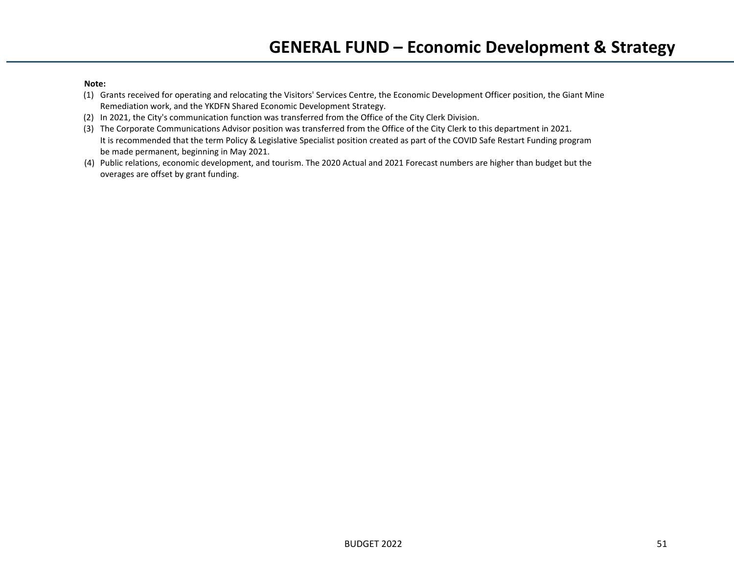## **Note:**

- (1) Grants received for operating and relocating the Visitors' Services Centre, the Economic Development Officer position, the Giant Mine Remediation work, and the YKDFN Shared Economic Development Strategy.
- (2) In 2021, the City's communication function was transferred from the Office of the City Clerk Division.
- (3) The Corporate Communications Advisor position was transferred from the Office of the City Clerk to this department in 2021. It is recommended that the term Policy & Legislative Specialist position created as part of the COVID Safe Restart Funding program be made permanent, beginning in May 2021.
- (4) Public relations, economic development, and tourism. The 2020 Actual and 2021 Forecast numbers are higher than budget but the overages are offset by grant funding.